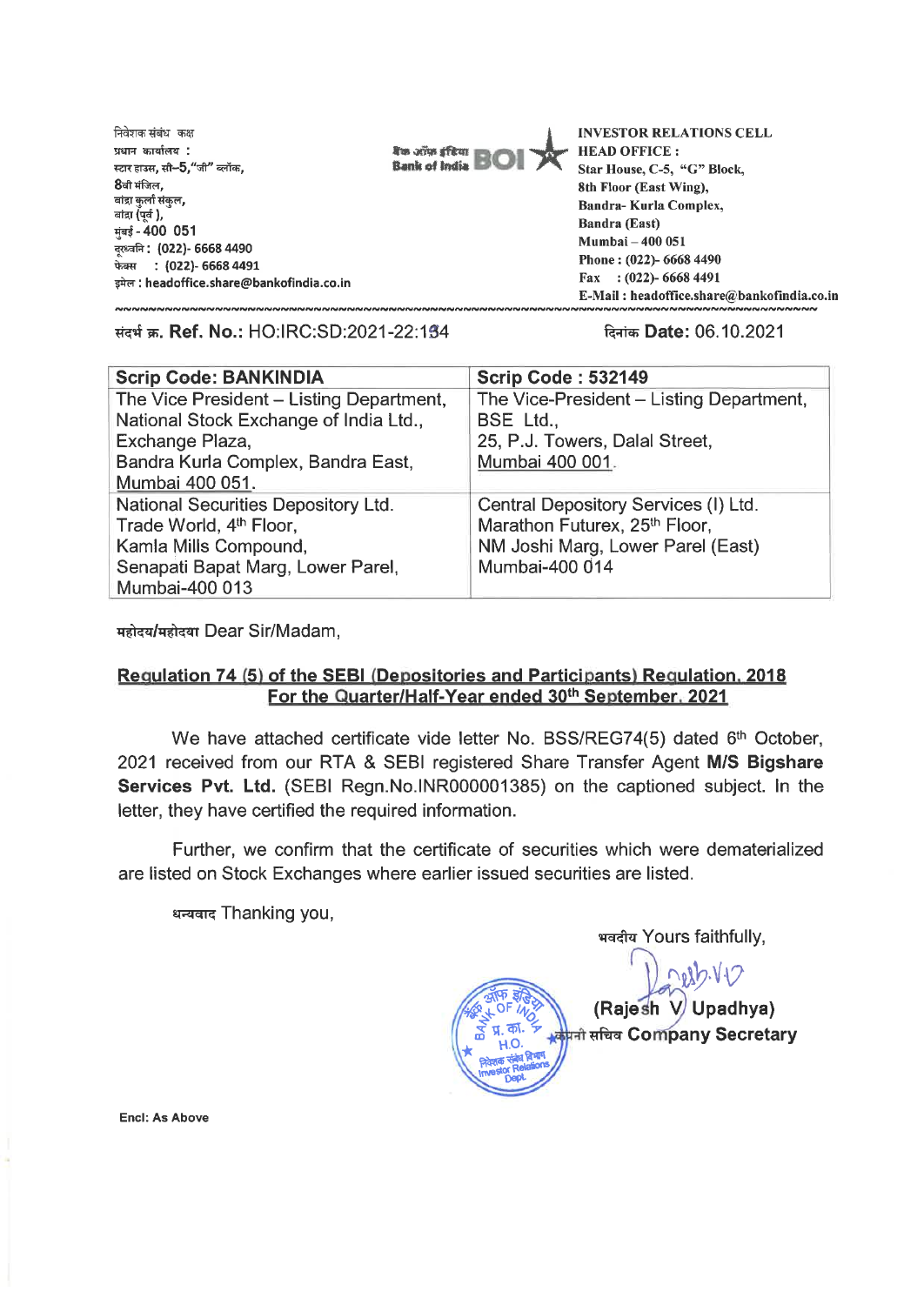निवेशक संबंध कक्ष **UMW go14lM4 .**  .<br>स्टार हाउस, सी**-5,**"जी" ब्लॉक. **8वी मंजिल.** बांद्रा कर्ला संकल, बांद्रा $\mathring{\mathfrak{g}}$ पर्व ). - **400 051 Itta.14. : (022)- 6668 4490**  r : **(022)- 6668 4491**  dM **: headoffice.share@bankofindia.co.in** 



**INVESTOR RELATIONS CELL HEAD OFFICE : Star House, C-5, "G" Block, 8th Floor (East Wing), Sandra- Kurla Complex, Bandra (East) Mumbai — 400 051 Phone : (022)- 6668 4490 Fax : (022)- 6668 4491 E-Mail : headoffice.share@bankofindia.co.in** 

**Trot w. Ref. No.:** HO:IRC:SD:2021-22:104 **Date:** 06.10.2021

| <b>Scrip Code: BANKINDIA</b>             | <b>Scrip Code: 532149</b>                |
|------------------------------------------|------------------------------------------|
| The Vice President - Listing Department, | The Vice-President - Listing Department, |
| National Stock Exchange of India Ltd.,   | BSE Ltd.,                                |
| Exchange Plaza,                          | 25, P.J. Towers, Dalal Street,           |
| Bandra Kurla Complex, Bandra East,       | Mumbai 400 001.                          |
| Mumbai 400 051.                          |                                          |
| National Securities Depository Ltd.      | Central Depository Services (I) Ltd.     |
| Trade World, 4th Floor,                  | Marathon Futurex, 25th Floor,            |
| Kamla Mills Compound,                    | NM Joshi Marg, Lower Parel (East)        |
| Senapati Bapat Marg, Lower Parel,        | Mumbai-400 014                           |
| Mumbai-400 013                           |                                          |

महोदय/महोदया Dear Sir/Madam,

## **Reaulation 74 (5) of the SEBI (Depositories and Participants) Regulation. 2018**  For the Quarter/Half-Year ended 30<sup>th</sup> September, 2021

We have attached certificate vide letter No. BSS/REG74(5) dated **6th** October, 2021 received from our RTA & SEBI registered Share Transfer Agent **M/S Bigshare Services Pvt. Ltd.** (SEBI Regn.No.INR000001385) on the captioned subject. In the letter, they have certified the required information.

Further, we confirm that the certificate of securities which were dematerialized are listed on Stock Exchanges where earlier issued securities are listed.

धन्यवाद Thanking you,

**भवदीय Yours faithfully, (Raje V Upadhya)**  h <mark>प्रती सचिव Company Secretary</mark>

**Encl: As Above**